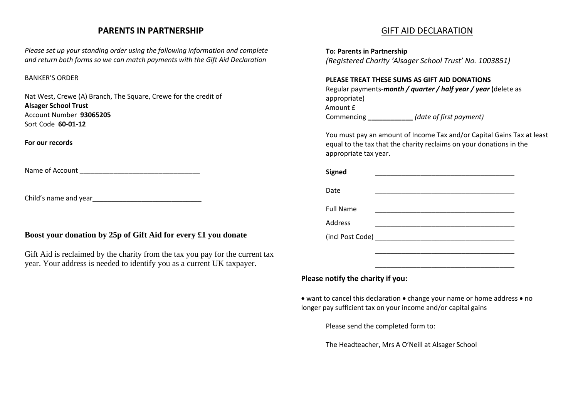## **PARENTS IN PARTNERSHIP**

*Please set up your standing order using the following information and complete and return both forms so we can match payments with the Gift Aid Declaration*

#### BANKER'S ORDER

Nat West, Crewe (A) Branch, The Square, Crewe for the credit of **Alsager School Trust** Account Number **93065205** Sort Code **60-01-12**

**For our records**

Name of Account \_\_\_\_\_\_\_\_\_\_\_\_\_\_\_\_\_\_\_\_\_\_\_\_\_\_\_\_\_\_\_\_

Child's name and year

### **Boost your donation by 25p of Gift Aid for every £1 you donate**

Gift Aid is reclaimed by the charity from the tax you pay for the current tax year. Your address is needed to identify you as a current UK taxpayer.

# GIFT AID DECLARATION

**To: Parents in Partnership** 

*(Registered Charity 'Alsager School Trust' No. 1003851)*

#### **PLEASE TREAT THESE SUMS AS GIFT AID DONATIONS**

Regular payments-*month / quarter / half year / year* **(**delete as appropriate) Amount £ Commencing **\_\_\_\_\_\_\_\_\_\_\_\_** *(date of first payment)*

You must pay an amount of Income Tax and/or Capital Gains Tax at least equal to the tax that the charity reclaims on your donations in the appropriate tax year.

| <b>Signed</b>    |  |
|------------------|--|
| Date             |  |
| <b>Full Name</b> |  |
| <b>Address</b>   |  |
|                  |  |
|                  |  |
|                  |  |

## **Please notify the charity if you:**

• want to cancel this declaration • change your name or home address • no longer pay sufficient tax on your income and/or capital gains

Please send the completed form to:

The Headteacher, Mrs A O'Neill at Alsager School